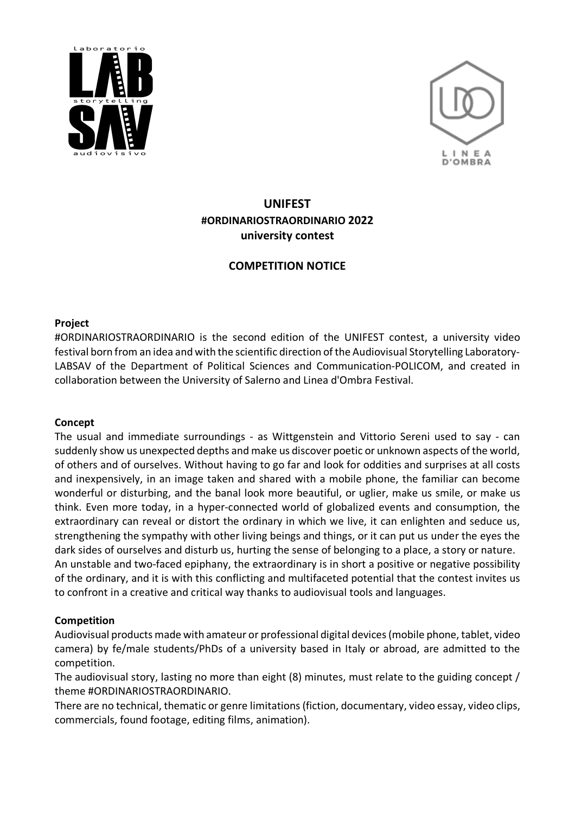



# **UNIFEST #ORDINARIOSTRAORDINARIO 2022 university contest**

## **COMPETITION NOTICE**

#### **Project**

#ORDINARIOSTRAORDINARIO is the second edition of the UNIFEST contest, a university video festival born from an idea and with the scientific direction of the Audiovisual Storytelling Laboratory-LABSAV of the Department of Political Sciences and Communication-POLICOM, and created in collaboration between the University of Salerno and Linea d'Ombra Festival.

### **Concept**

The usual and immediate surroundings - as Wittgenstein and Vittorio Sereni used to say - can suddenly show us unexpected depths and make us discover poetic or unknown aspects of the world, of others and of ourselves. Without having to go far and look for oddities and surprises at all costs and inexpensively, in an image taken and shared with a mobile phone, the familiar can become wonderful or disturbing, and the banal look more beautiful, or uglier, make us smile, or make us think. Even more today, in a hyper-connected world of globalized events and consumption, the extraordinary can reveal or distort the ordinary in which we live, it can enlighten and seduce us, strengthening the sympathy with other living beings and things, or it can put us under the eyes the dark sides of ourselves and disturb us, hurting the sense of belonging to a place, a story or nature. An unstable and two-faced epiphany, the extraordinary is in short a positive or negative possibility of the ordinary, and it is with this conflicting and multifaceted potential that the contest invites us to confront in a creative and critical way thanks to audiovisual tools and languages.

### **Competition**

Audiovisual products made with amateur or professional digital devices (mobile phone, tablet, video camera) by fe/male students/PhDs of a university based in Italy or abroad, are admitted to the competition.

The audiovisual story, lasting no more than eight (8) minutes, must relate to the guiding concept / theme #ORDINARIOSTRAORDINARIO.

There are no technical, thematic or genre limitations (fiction, documentary, video essay, video clips, commercials, found footage, editing films, animation).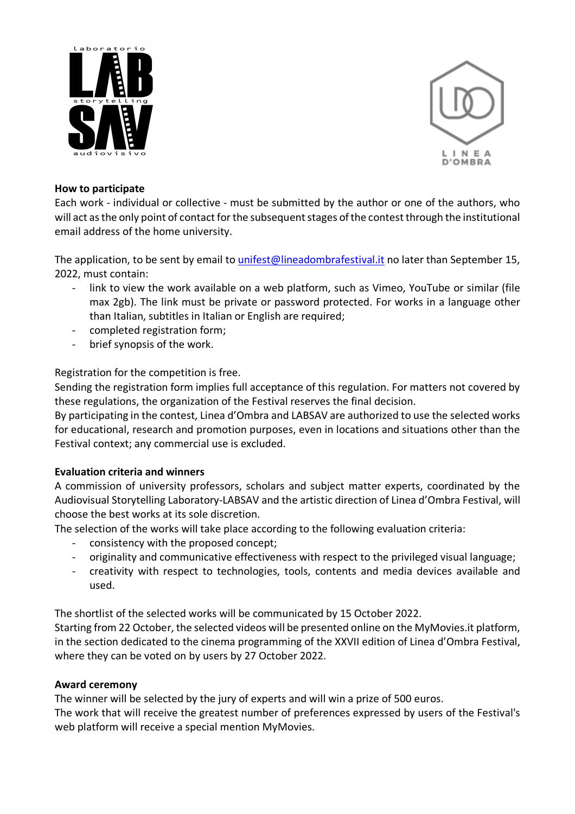



#### **How to participate**

Each work - individual or collective - must be submitted by the author or one of the authors, who will act as the only point of contact for the subsequent stages of the contest through the institutional email address of the home university.

The application, to be sent by email to unifest@lineadombrafestival.it no later than September 15, 2022, must contain:

- link to view the work available on a web platform, such as Vimeo, YouTube or similar (file max 2gb). The link must be private or password protected. For works in a language other than Italian, subtitles in Italian or English are required;
- completed registration form;
- brief synopsis of the work.

Registration for the competition is free.

Sending the registration form implies full acceptance of this regulation. For matters not covered by these regulations, the organization of the Festival reserves the final decision.

By participating in the contest, Linea d'Ombra and LABSAV are authorized to use the selected works for educational, research and promotion purposes, even in locations and situations other than the Festival context; any commercial use is excluded.

### **Evaluation criteria and winners**

A commission of university professors, scholars and subject matter experts, coordinated by the Audiovisual Storytelling Laboratory-LABSAV and the artistic direction of Linea d'Ombra Festival, will choose the best works at its sole discretion.

The selection of the works will take place according to the following evaluation criteria:

- consistency with the proposed concept;
- originality and communicative effectiveness with respect to the privileged visual language;
- creativity with respect to technologies, tools, contents and media devices available and used.

The shortlist of the selected works will be communicated by 15 October 2022.

Starting from 22 October, the selected videos will be presented online on the MyMovies.it platform, in the section dedicated to the cinema programming of the XXVII edition of Linea d'Ombra Festival, where they can be voted on by users by 27 October 2022.

### **Award ceremony**

The winner will be selected by the jury of experts and will win a prize of 500 euros.

The work that will receive the greatest number of preferences expressed by users of the Festival's web platform will receive a special mention MyMovies.